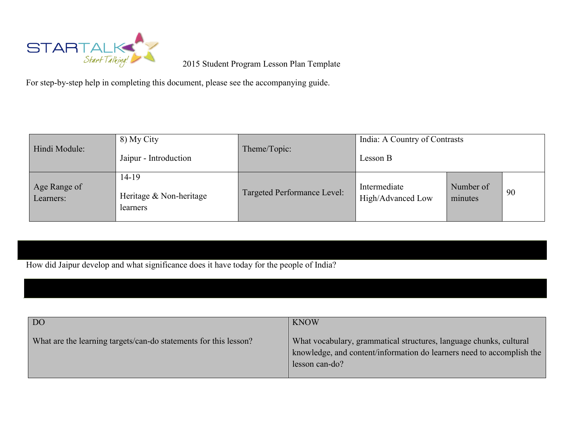

For step-by-step help in completing this document, please see the accompanying guide.

| Hindi Module:             | 8) My City<br>Jaipur - Introduction          | Theme/Topic:                | India: A Country of Contrasts<br>Lesson B |                      |    |
|---------------------------|----------------------------------------------|-----------------------------|-------------------------------------------|----------------------|----|
| Age Range of<br>Learners: | 14-19<br>Heritage & Non-heritage<br>learners | Targeted Performance Level: | Intermediate<br>High/Advanced Low         | Number of<br>minutes | 90 |

How did Jaipur develop and what significance does it have today for the people of India?

| D <sub>O</sub>                                                   | <b>KNOW</b>                                                                                                                                                   |
|------------------------------------------------------------------|---------------------------------------------------------------------------------------------------------------------------------------------------------------|
| What are the learning targets/can-do statements for this lesson? | What vocabulary, grammatical structures, language chunks, cultural<br>knowledge, and content/information do learners need to accomplish the<br>lesson can-do? |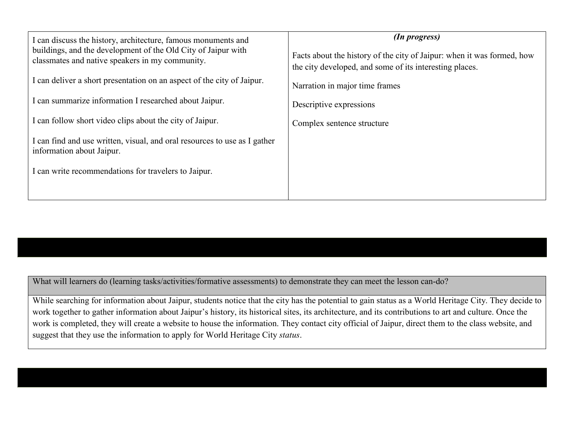| I can discuss the history, architecture, famous monuments and<br>buildings, and the development of the Old City of Jaipur with<br>classmates and native speakers in my community. | (In progress)<br>Facts about the history of the city of Jaipur: when it was formed, how<br>the city developed, and some of its interesting places. |
|-----------------------------------------------------------------------------------------------------------------------------------------------------------------------------------|----------------------------------------------------------------------------------------------------------------------------------------------------|
| I can deliver a short presentation on an aspect of the city of Jaipur.                                                                                                            | Narration in major time frames                                                                                                                     |
| I can summarize information I researched about Jaipur.                                                                                                                            | Descriptive expressions                                                                                                                            |
| I can follow short video clips about the city of Jaipur.                                                                                                                          | Complex sentence structure                                                                                                                         |
| I can find and use written, visual, and oral resources to use as I gather<br>information about Jaipur.                                                                            |                                                                                                                                                    |
| I can write recommendations for travelers to Jaipur.                                                                                                                              |                                                                                                                                                    |
|                                                                                                                                                                                   |                                                                                                                                                    |

What will learners do (learning tasks/activities/formative assessments) to demonstrate they can meet the lesson can-do?

While searching for information about Jaipur, students notice that the city has the potential to gain status as a World Heritage City. They decide to work together to gather information about Jaipur's history, its historical sites, its architecture, and its contributions to art and culture. Once the work is completed, they will create a website to house the information. They contact city official of Jaipur, direct them to the class website, and suggest that they use the information to apply for World Heritage City *status*.